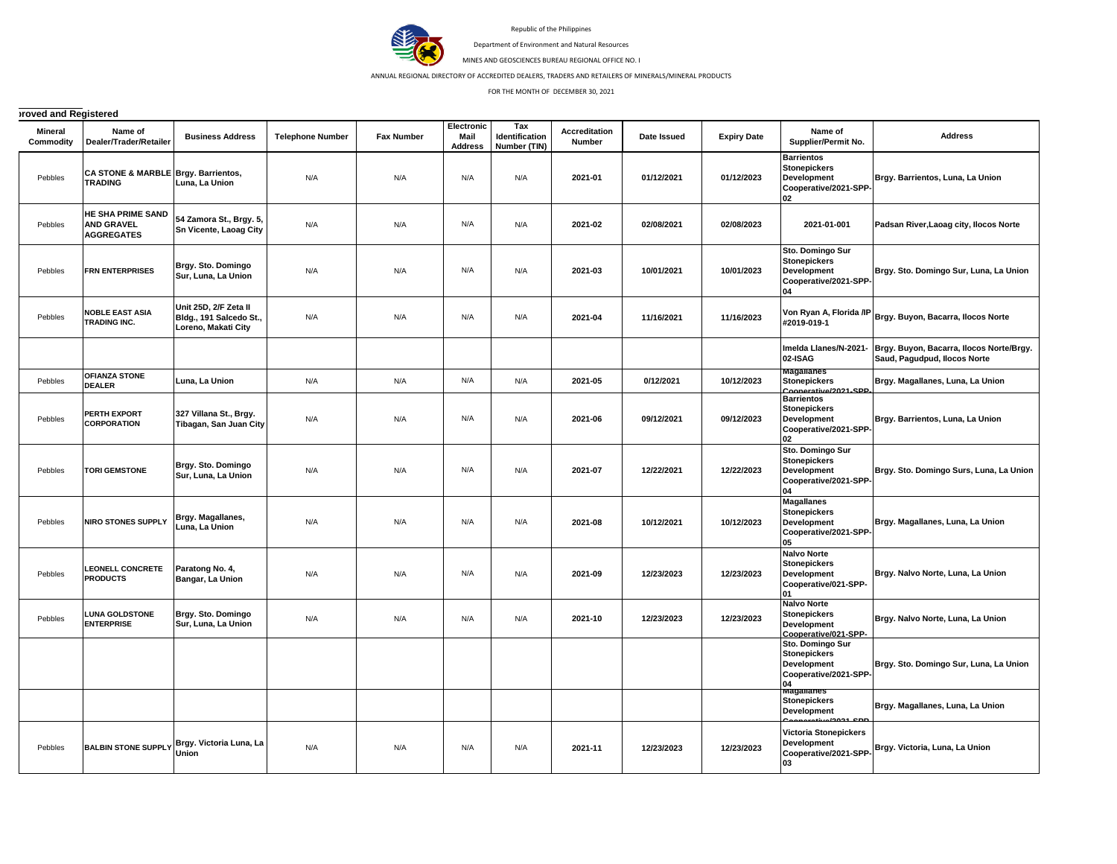

Republic of the Philippines

Department of Environment and Natural Resources

MINES AND GEOSCIENCES BUREAU REGIONAL OFFICE NO. I

ANNUAL REGIONAL DIRECTORY OF ACCREDITED DEALERS, TRADERS AND RETAILERS OF MINERALS/MINERAL PRODUCTS

FOR THE MONTH OF DECEMBER 30, 2021

## **ITOVed and Registered**

| <b>Mineral</b><br>Commodity | Name of<br>Dealer/Trader/Retailer                           | <b>Business Address</b>                                                 | <b>Telephone Number</b> | <b>Fax Number</b> | Electronic<br><b>Mail</b><br><b>Address</b> | Tax<br>Identification<br>Number (TIN) | <b>Accreditation</b><br>Number | Date Issued | <b>Expiry Date</b> | Name of<br>Supplier/Permit No.                                                                | <b>Address</b>                                                           |
|-----------------------------|-------------------------------------------------------------|-------------------------------------------------------------------------|-------------------------|-------------------|---------------------------------------------|---------------------------------------|--------------------------------|-------------|--------------------|-----------------------------------------------------------------------------------------------|--------------------------------------------------------------------------|
| Pebbles                     | CA STONE & MARBLE Brgy. Barrientos,<br><b>TRADING</b>       | Luna, La Union                                                          | N/A                     | N/A               | N/A                                         | N/A                                   | 2021-01                        | 01/12/2021  | 01/12/2023         | <b>Barrientos</b><br><b>Stonepickers</b><br><b>Development</b><br>Cooperative/2021-SPP-<br>02 | Brgy. Barrientos, Luna, La Union                                         |
| Pebbles                     | HE SHA PRIME SAND<br><b>AND GRAVEL</b><br><b>AGGREGATES</b> | 54 Zamora St., Brgy. 5,<br><b>Sn Vicente, Laoag City</b>                | N/A                     | N/A               | N/A                                         | N/A                                   | 2021-02                        | 02/08/2021  | 02/08/2023         | 2021-01-001                                                                                   | Padsan River, Laoag city, Ilocos Norte                                   |
| Pebbles                     | <b>FRN ENTERPRISES</b>                                      | Brgy. Sto. Domingo<br>Sur, Luna, La Union                               | N/A                     | N/A               | N/A                                         | N/A                                   | 2021-03                        | 10/01/2021  | 10/01/2023         | Sto. Domingo Sur<br><b>Stonepickers</b><br>Development<br>Cooperative/2021-SPP-<br>04         | Brgy. Sto. Domingo Sur, Luna, La Union                                   |
| Pebbles                     | <b>NOBLE EAST ASIA</b><br>TRADING INC.                      | Unit 25D, 2/F Zeta II<br>Bldg., 191 Salcedo St.,<br>Loreno, Makati City | N/A                     | N/A               | N/A                                         | N/A                                   | 2021-04                        | 11/16/2021  | 11/16/2023         | Von Ryan A, Florida /IP<br>#2019-019-1                                                        | Brgy. Buyon, Bacarra, Ilocos Norte                                       |
|                             |                                                             |                                                                         |                         |                   |                                             |                                       |                                |             |                    | Imelda Llanes/N-2021-<br>02-ISAG                                                              | Brgy. Buyon, Bacarra, Ilocos Norte/Brgy.<br>Saud, Pagudpud, Ilocos Norte |
| Pebbles                     | <b>OFIANZA STONE</b><br><b>DEALER</b>                       | Luna, La Union                                                          | N/A                     | N/A               | N/A                                         | N/A                                   | 2021-05                        | 0/12/2021   | 10/12/2023         | Magallanes<br><b>Stonepickers</b><br>Coonerative/2021-SPP                                     | Brgy. Magallanes, Luna, La Union                                         |
| Pebbles                     | <b>PERTH EXPORT</b><br><b>CORPORATION</b>                   | 327 Villana St., Brgy.<br>Tibagan, San Juan City                        | N/A                     | N/A               | N/A                                         | N/A                                   | 2021-06                        | 09/12/2021  | 09/12/2023         | <b>Barrientos</b><br><b>Stonepickers</b><br><b>Development</b><br>Cooperative/2021-SPP-<br>02 | Brgy. Barrientos, Luna, La Union                                         |
| Pebbles                     | <b>TORI GEMSTONE</b>                                        | Brgy. Sto. Domingo<br>Sur, Luna, La Union                               | N/A                     | N/A               | N/A                                         | N/A                                   | 2021-07                        | 12/22/2021  | 12/22/2023         | Sto. Domingo Sur<br><b>Stonepickers</b><br>Development<br>Cooperative/2021-SPP<br>04          | Brgy. Sto. Domingo Surs, Luna, La Union                                  |
| Pebbles                     | <b>NIRO STONES SUPPLY</b>                                   | Brgy. Magallanes,<br>Luna, La Union                                     | N/A                     | N/A               | N/A                                         | N/A                                   | 2021-08                        | 10/12/2021  | 10/12/2023         | <b>Magallanes</b><br><b>Stonepickers</b><br>Development<br>Cooperative/2021-SPP<br>05         | Brgy. Magallanes, Luna, La Union                                         |
| Pebbles                     | <b>LEONELL CONCRETE</b><br><b>PRODUCTS</b>                  | Paratong No. 4,<br>Bangar, La Union                                     | N/A                     | N/A               | N/A                                         | N/A                                   | 2021-09                        | 12/23/2023  | 12/23/2023         | <b>Nalvo Norte</b><br><b>Stonepickers</b><br><b>Development</b><br>Cooperative/021-SPP-<br>01 | Brgy. Nalvo Norte, Luna, La Union                                        |
| Pebbles                     | <b>LUNA GOLDSTONE</b><br><b>ENTERPRISE</b>                  | Brgy. Sto. Domingo<br>Sur, Luna, La Union                               | N/A                     | N/A               | N/A                                         | N/A                                   | 2021-10                        | 12/23/2023  | 12/23/2023         | <b>Nalvo Norte</b><br><b>Stonepickers</b><br><b>Development</b><br>Cooperative/021-SPP-       | Brgy. Nalvo Norte, Luna, La Union                                        |
|                             |                                                             |                                                                         |                         |                   |                                             |                                       |                                |             |                    | Sto. Domingo Sur<br><b>Stonepickers</b><br>Development<br>Cooperative/2021-SPP-<br>04         | Brgy. Sto. Domingo Sur, Luna, La Union                                   |
|                             |                                                             |                                                                         |                         |                   |                                             |                                       |                                |             |                    | <b>Magananes</b><br><b>Stonepickers</b><br>Development<br><u>הם גרחרי</u>                     | Brgy. Magallanes, Luna, La Union                                         |
| Pebbles                     | <b>BALBIN STONE SUPPLY</b>                                  | Brgy. Victoria Luna, La<br>Union                                        | N/A                     | N/A               | N/A                                         | N/A                                   | 2021-11                        | 12/23/2023  | 12/23/2023         | Victoria Stonepickers<br>Development<br>Cooperative/2021-SPP-<br>03                           | Brgy. Victoria, Luna, La Union                                           |